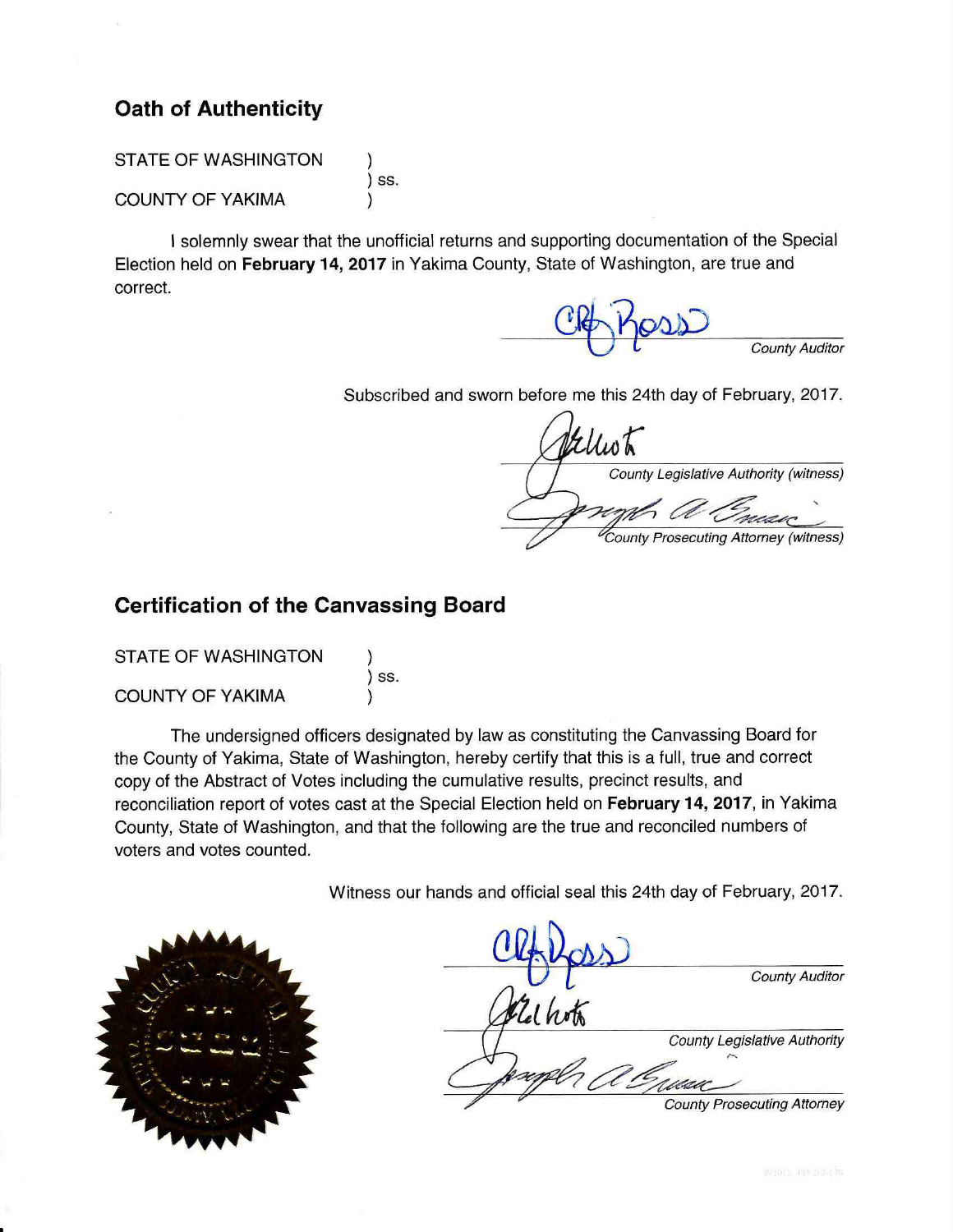# **Oath of Authenticity**

**STATE OF WASHINGTON** 

**COUNTY OF YAKIMA** 

) ss.

I solemnly swear that the unofficial returns and supporting documentation of the Special Election held on February 14, 2017 in Yakima County, State of Washington, are true and correct.

**County Auditor** 

Subscribed and sworn before me this 24th day of February, 2017.

Elliot County Legislative Authority (witness) **County Prosecuting Attorney (witness)** 

# **Certification of the Canvassing Board**

**STATE OF WASHINGTON** 

) ss.

**COUNTY OF YAKIMA** 

The undersigned officers designated by law as constituting the Canvassing Board for the County of Yakima, State of Washington, hereby certify that this is a full, true and correct copy of the Abstract of Votes including the cumulative results, precinct results, and reconciliation report of votes cast at the Special Election held on February 14, 2017, in Yakima County, State of Washington, and that the following are the true and reconciled numbers of voters and votes counted.

Witness our hands and official seal this 24th day of February, 2017.



|      | <b>County Auditor</b>              |
|------|------------------------------------|
| lhot |                                    |
|      | County Legislative Authority       |
|      |                                    |
|      | <b>County Prosecuting Attorney</b> |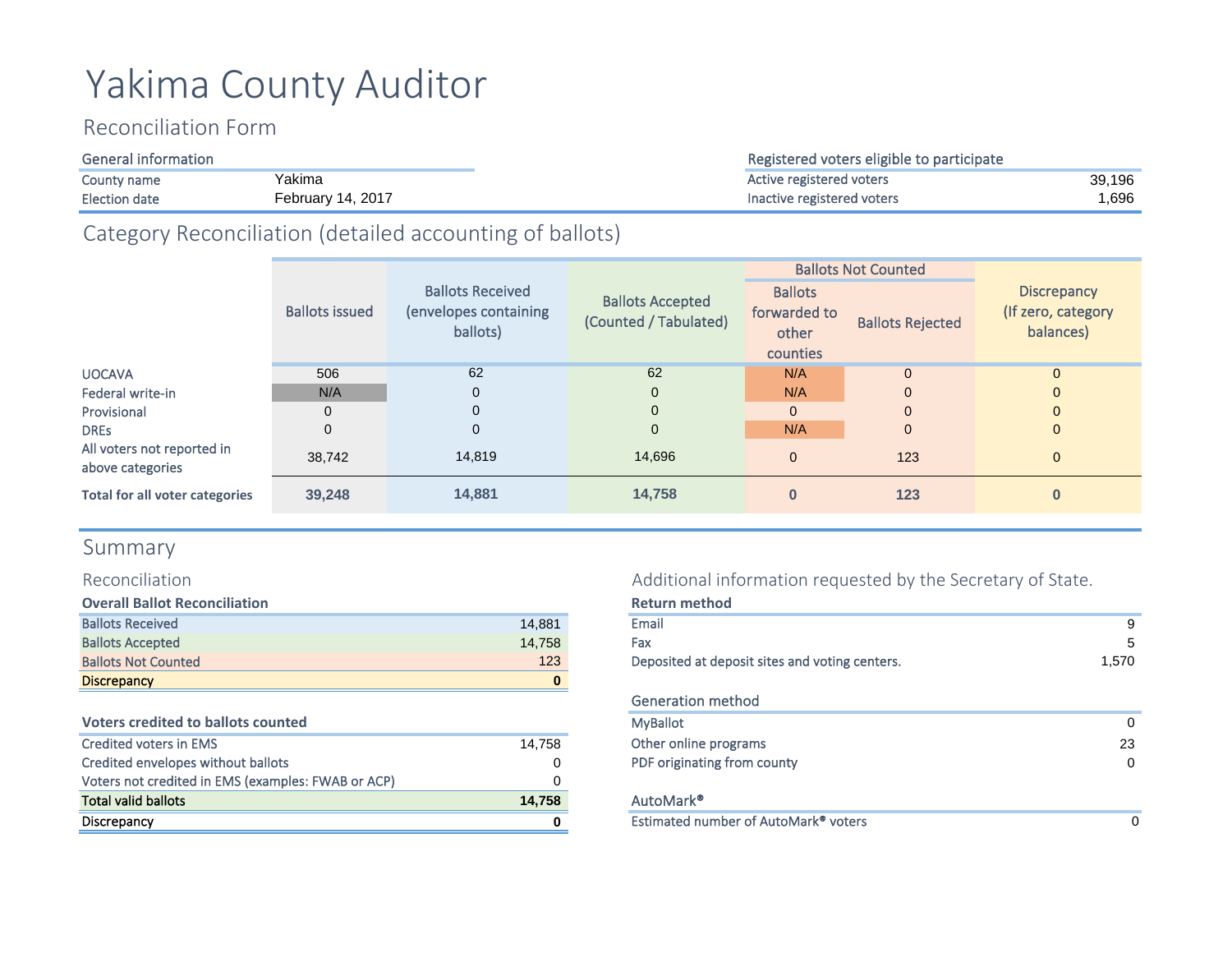# Yakima County Auditor

# Reconciliation Form

| <b>General information</b>                |  |
|-------------------------------------------|--|
| Yakima<br>County name                     |  |
| <b>February 14, 2017</b><br>Election date |  |

# Category Reconciliation (detailed accounting of ballots)

|                                                |                       |                                                              |                                                  |                                                     | <b>Ballots Not Counted</b> |                                                       |
|------------------------------------------------|-----------------------|--------------------------------------------------------------|--------------------------------------------------|-----------------------------------------------------|----------------------------|-------------------------------------------------------|
|                                                | <b>Ballots issued</b> | <b>Ballots Received</b><br>(envelopes containing<br>ballots) | <b>Ballots Accepted</b><br>(Counted / Tabulated) | <b>Ballots</b><br>forwarded to<br>other<br>counties | <b>Ballots Rejected</b>    | <b>Discrepancy</b><br>(If zero, category<br>balances) |
| <b>UOCAVA</b>                                  | 506                   | 62                                                           | 62                                               | N/A                                                 | $\mathbf{0}$               | $\mathbf{0}$                                          |
| Federal write-in                               | N/A                   | $\mathbf 0$                                                  | $\mathbf 0$                                      | N/A                                                 | $\mathbf{0}$               | $\mathbf{0}$                                          |
| Provisional                                    | $\Omega$              | $\Omega$                                                     | $\mathbf 0$                                      | $\mathbf{0}$                                        | $\mathbf{0}$               | $\mathbf{0}$                                          |
| <b>DRES</b>                                    | $\mathbf{0}$          | $\mathbf{0}$                                                 | $\mathbf 0$                                      | N/A                                                 | $\mathbf{0}$               | $\mathbf{0}$                                          |
| All voters not reported in<br>above categories | 38,742                | 14.819                                                       | 14.696                                           | $\mathbf{0}$                                        | 123                        | $\mathbf{0}$                                          |
| Total for all voter categories                 | 39,248                | 14,881                                                       | 14,758                                           | $\bf{0}$                                            | 123                        | $\bf{0}$                                              |

# Summary

# Reconciliation

| <b>Overall Ballot Reconciliation</b> |        |
|--------------------------------------|--------|
| <b>Ballots Received</b>              | 14.881 |
| <b>Ballots Accepted</b>              | 14.758 |
| <b>Ballots Not Counted</b>           | 123    |
| <b>Discrepancy</b>                   |        |

#### **Voters credited to ballots counted**

| Credited voters in EMS                             | 14.758 | Other online programs       |
|----------------------------------------------------|--------|-----------------------------|
| Credited envelopes without ballots                 | 0      | PDF originating from county |
| Voters not credited in EMS (examples: FWAB or ACP) |        |                             |
| <b>Total valid ballots</b>                         | 14.758 | AutoMark <sup>®</sup>       |
| Discrepancy                                        |        | Estimated number of AutoM   |

# Additional information requested by the Secretary of State.

| <b>Overall Ballot Reconciliation</b>               |        | <b>Return method</b>                             |              |
|----------------------------------------------------|--------|--------------------------------------------------|--------------|
| <b>Ballots Received</b>                            | 14.881 | Email                                            | 9            |
| <b>Ballots Accepted</b>                            | 14.758 | Fax                                              | 5            |
| <b>Ballots Not Counted</b>                         | 123    | Deposited at deposit sites and voting centers.   | 1.570        |
| <b>Discrepancy</b>                                 | 0      |                                                  |              |
|                                                    |        | <b>Generation method</b>                         |              |
| <b>Voters credited to ballots counted</b>          |        | <b>MyBallot</b>                                  | $\mathbf{0}$ |
| <b>Credited voters in EMS</b>                      | 14.758 | Other online programs                            | 23           |
| Credited envelopes without ballots                 | 0      | PDF originating from county                      | $\Omega$     |
| Voters not credited in EMS (examples: FWAB or ACP) |        |                                                  |              |
| Total valid ballots                                | 14,758 | AutoMark <sup>®</sup>                            |              |
| <b>Discrepancy</b>                                 |        | Estimated number of AutoMark <sup>®</sup> voters |              |
|                                                    |        |                                                  |              |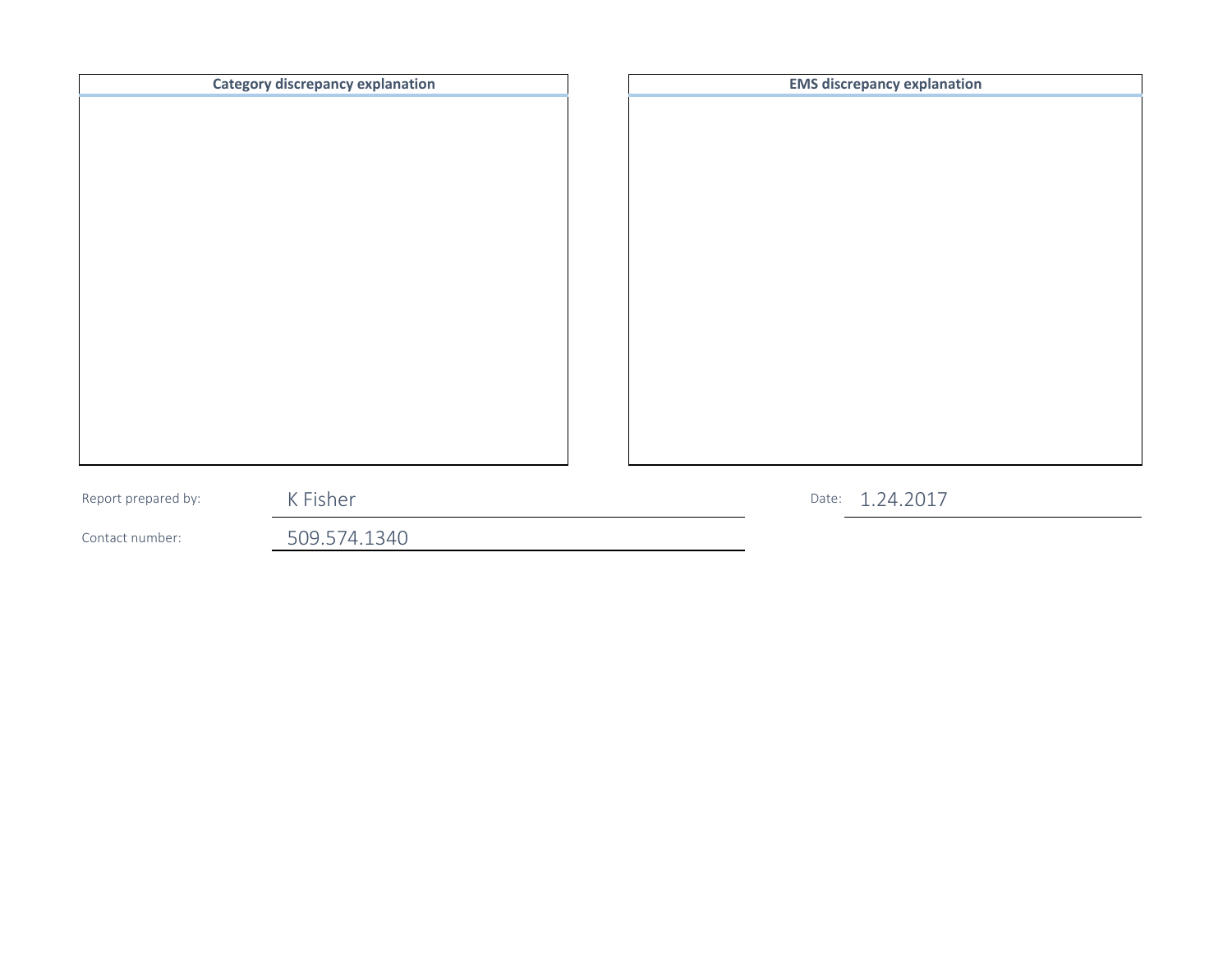| K Fisher<br>Date: 1.24.2017<br>Report prepared by: |  |
|----------------------------------------------------|--|
| 509.574.1340<br>Contact number:                    |  |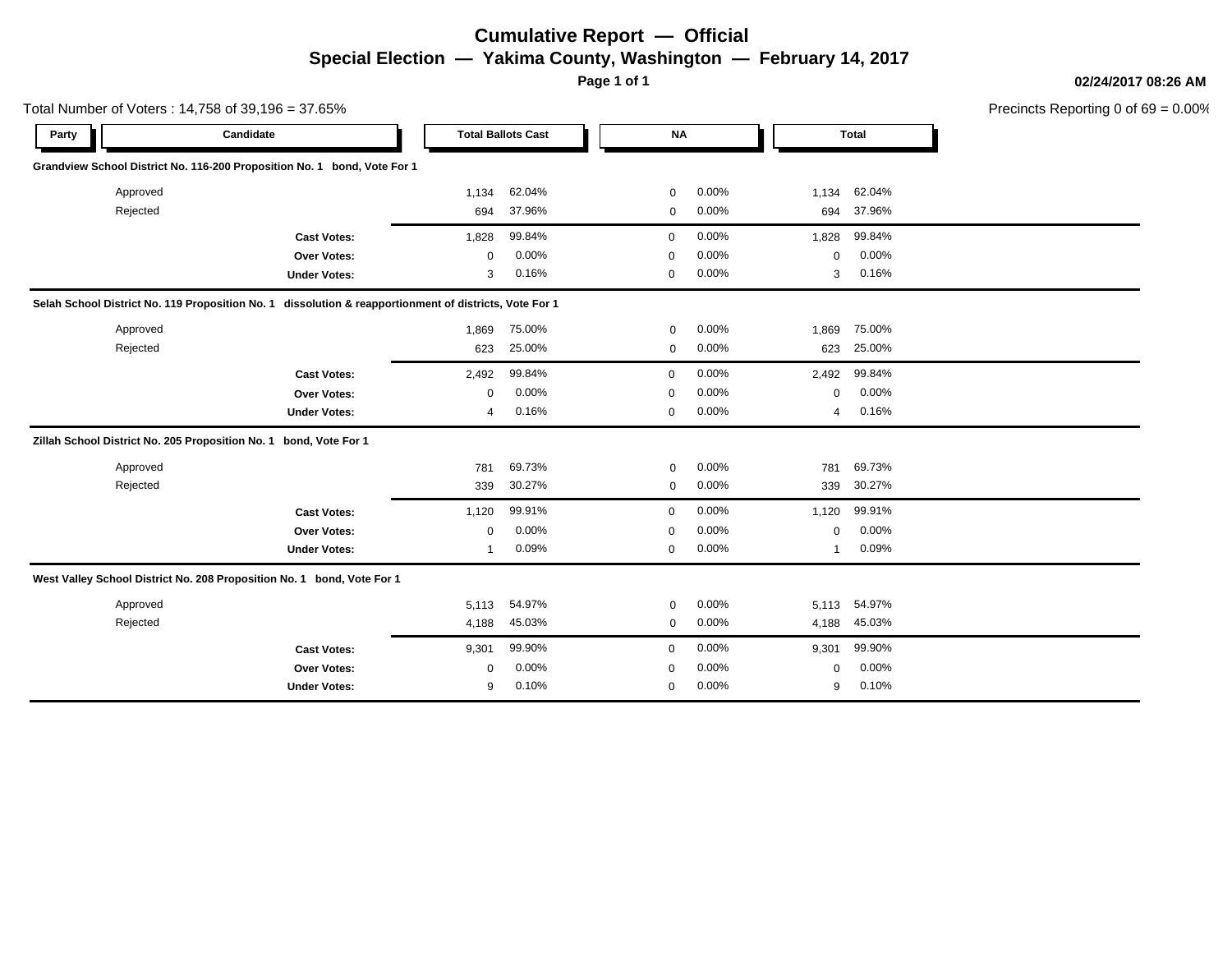# **Cumulative Report — Official Special Election — Yakima County, Washington — February 14, 2017**

**Page 1 of 1**

**02/24/2017 08:26 AM**

|       |          | Total Number of Voters: 14,758 of 39,196 = 37.65%                                                      |       |                           |             |       |             |              | Precincts Reporting 0 of 69 = 0.00% |
|-------|----------|--------------------------------------------------------------------------------------------------------|-------|---------------------------|-------------|-------|-------------|--------------|-------------------------------------|
| Party |          | Candidate                                                                                              |       | <b>Total Ballots Cast</b> | <b>NA</b>   |       |             | <b>Total</b> |                                     |
|       |          | Grandview School District No. 116-200 Proposition No. 1 bond, Vote For 1                               |       |                           |             |       |             |              |                                     |
|       | Approved |                                                                                                        | 1,134 | 62.04%                    | 0           | 0.00% | 1,134       | 62.04%       |                                     |
|       | Rejected |                                                                                                        | 694   | 37.96%                    | 0           | 0.00% | 694         | 37.96%       |                                     |
|       |          | <b>Cast Votes:</b>                                                                                     | 1,828 | 99.84%                    | 0           | 0.00% | 1,828       | 99.84%       |                                     |
|       |          | Over Votes:                                                                                            | 0     | 0.00%                     | $\mathbf 0$ | 0.00% | $\mathbf 0$ | 0.00%        |                                     |
|       |          | <b>Under Votes:</b>                                                                                    | 3     | 0.16%                     | 0           | 0.00% | 3           | 0.16%        |                                     |
|       |          | Selah School District No. 119 Proposition No. 1 dissolution & reapportionment of districts, Vote For 1 |       |                           |             |       |             |              |                                     |
|       | Approved |                                                                                                        | 1,869 | 75.00%                    | 0           | 0.00% | 1,869       | 75.00%       |                                     |
|       | Rejected |                                                                                                        | 623   | 25.00%                    | $\mathbf 0$ | 0.00% | 623         | 25.00%       |                                     |
|       |          | <b>Cast Votes:</b>                                                                                     | 2,492 | 99.84%                    | $\mathbf 0$ | 0.00% | 2,492       | 99.84%       |                                     |
|       |          | Over Votes:                                                                                            | 0     | 0.00%                     | $\mathbf 0$ | 0.00% | $\mathbf 0$ | 0.00%        |                                     |
|       |          | <b>Under Votes:</b>                                                                                    | 4     | 0.16%                     | 0           | 0.00% | 4           | 0.16%        |                                     |
|       |          | Zillah School District No. 205 Proposition No. 1 bond, Vote For 1                                      |       |                           |             |       |             |              |                                     |
|       | Approved |                                                                                                        | 781   | 69.73%                    | $\mathbf 0$ | 0.00% | 781         | 69.73%       |                                     |
|       | Rejected |                                                                                                        | 339   | 30.27%                    | 0           | 0.00% | 339         | 30.27%       |                                     |
|       |          | <b>Cast Votes:</b>                                                                                     | 1,120 | 99.91%                    | $\mathbf 0$ | 0.00% | 1,120       | 99.91%       |                                     |
|       |          | Over Votes:                                                                                            | 0     | 0.00%                     | 0           | 0.00% | $\mathbf 0$ | 0.00%        |                                     |
|       |          | <b>Under Votes:</b>                                                                                    | 1     | 0.09%                     | $\mathbf 0$ | 0.00% | 1           | 0.09%        |                                     |
|       |          | West Valley School District No. 208 Proposition No. 1 bond, Vote For 1                                 |       |                           |             |       |             |              |                                     |
|       | Approved |                                                                                                        | 5,113 | 54.97%                    | $\mathbf 0$ | 0.00% | 5,113       | 54.97%       |                                     |
|       | Rejected |                                                                                                        | 4,188 | 45.03%                    | $\mathbf 0$ | 0.00% | 4,188       | 45.03%       |                                     |
|       |          | <b>Cast Votes:</b>                                                                                     | 9,301 | 99.90%                    | $\mathbf 0$ | 0.00% | 9,301       | 99.90%       |                                     |
|       |          | Over Votes:                                                                                            | 0     | 0.00%                     | $\Omega$    | 0.00% | 0           | 0.00%        |                                     |
|       |          | <b>Under Votes:</b>                                                                                    | 9     | 0.10%                     | 0           | 0.00% | 9           | 0.10%        |                                     |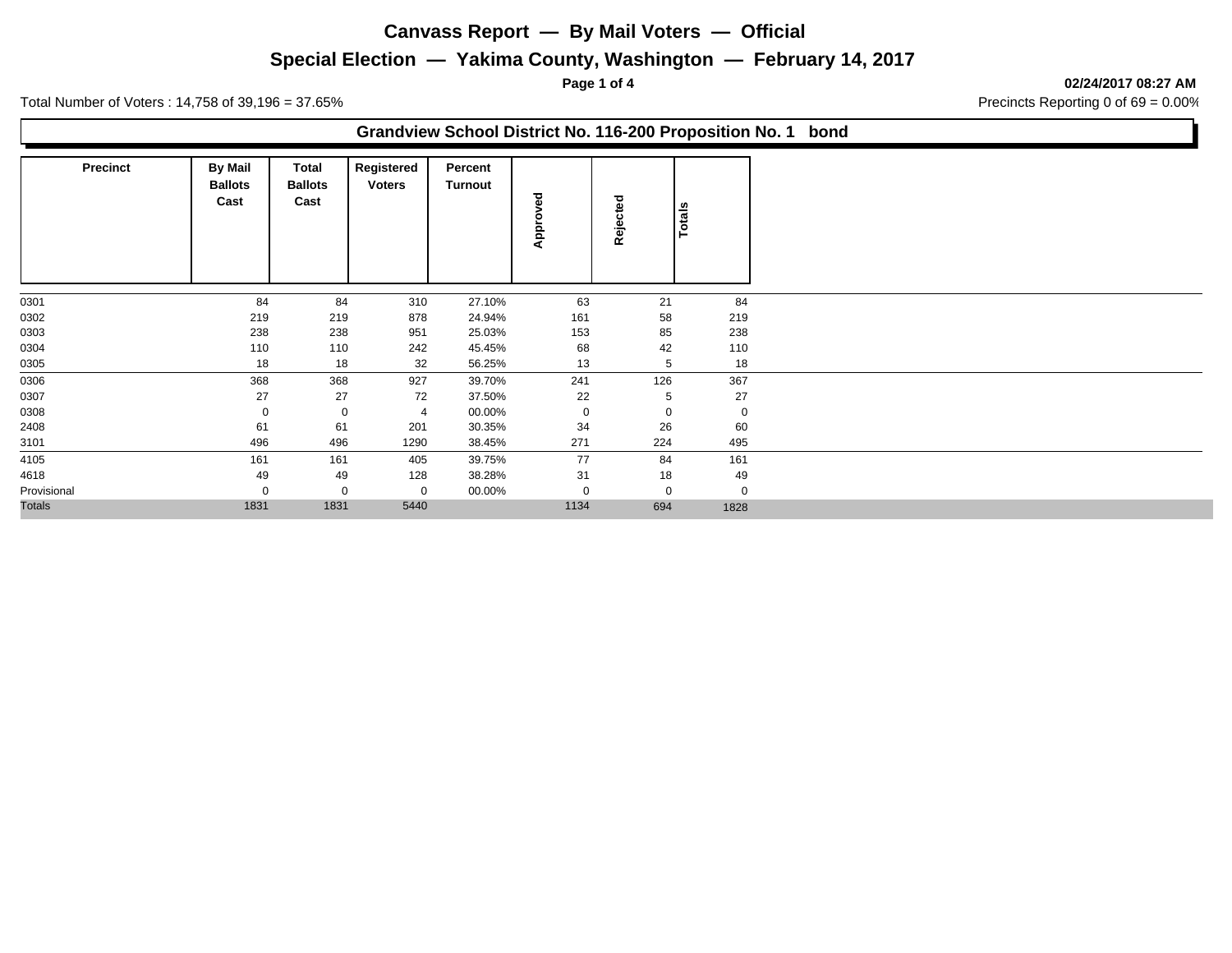# **Special Election — Yakima County, Washington — February 14, 2017**

**Page 1 of 4 02/24/2017 08:27 AM**

Total Number of Voters : 14,758 of 39,196 = 37.65% Precincts Reporting 0 of 69 = 0.00%

#### **Grandview School District No. 116-200 Proposition No. 1 bond**

| Precinct      | <b>By Mail</b><br><b>Ballots</b><br>Cast | Total<br><b>Ballots</b><br>Cast | Registered<br><b>Voters</b> | Percent<br>Turnout | Approved    | Rejected    | Totals      |
|---------------|------------------------------------------|---------------------------------|-----------------------------|--------------------|-------------|-------------|-------------|
| 0301          | 84                                       | 84                              | 310                         | 27.10%             | 63          | 21          | 84          |
| 0302          | 219                                      | 219                             | 878                         | 24.94%             | 161         | 58          | 219         |
| 0303          | 238                                      | 238                             | 951                         | 25.03%             | 153         | 85          | 238         |
| 0304          | 110                                      | 110                             | 242                         | 45.45%             | 68          | 42          | 110         |
| 0305          | 18                                       | 18                              | 32                          | 56.25%             | 13          | 5           | 18          |
| 0306          | 368                                      | 368                             | 927                         | 39.70%             | 241         | 126         | 367         |
| 0307          | 27                                       | 27                              | 72                          | 37.50%             | 22          | 5           | 27          |
| 0308          | $\mathbf 0$                              | $\mathbf 0$                     | $\overline{4}$              | 00.00%             | $\mathbf 0$ | $\mathbf 0$ | $\mathbf 0$ |
| 2408          | 61                                       | 61                              | 201                         | 30.35%             | 34          | 26          | 60          |
| 3101          | 496                                      | 496                             | 1290                        | 38.45%             | 271         | 224         | 495         |
| 4105          | 161                                      | 161                             | 405                         | 39.75%             | 77          | 84          | 161         |
| 4618          | 49                                       | 49                              | 128                         | 38.28%             | 31          | 18          | 49          |
| Provisional   | 0                                        | $\mathbf 0$                     | 0                           | 00.00%             | 0           | $\mathbf 0$ | $\mathbf 0$ |
| <b>Totals</b> | 1831                                     | 1831                            | 5440                        |                    | 1134        | 694         | 1828        |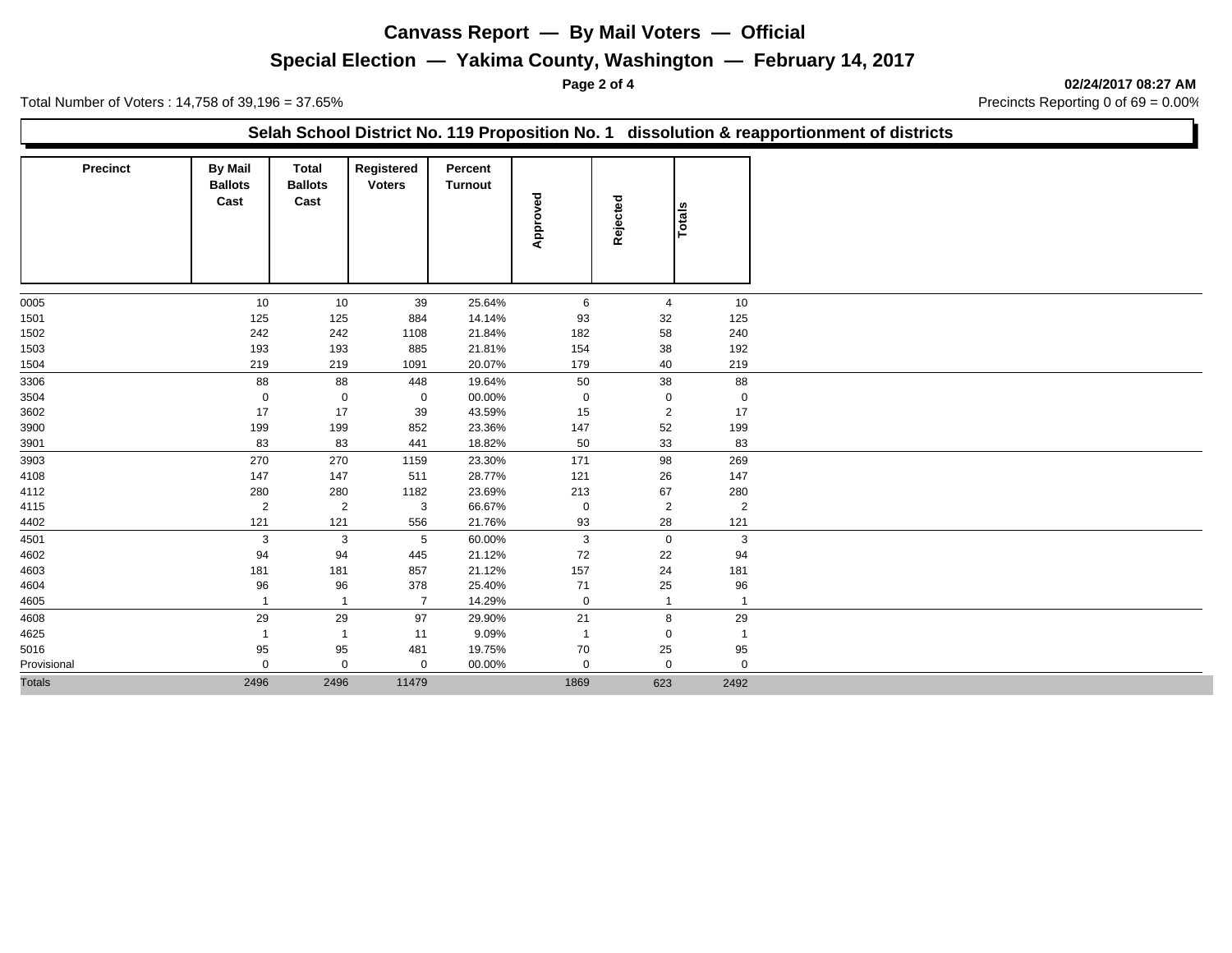## **Special Election — Yakima County, Washington — February 14, 2017**

**Page 2 of 4 02/24/2017 08:27 AM**

Total Number of Voters : 14,758 of 39,196 = 37.65% Precincts Reporting 0 of 69 = 0.00%

#### **Selah School District No. 119 Proposition No. 1 dissolution & reapportionment of districts**

| <b>Precinct</b> | <b>By Mail</b><br><b>Ballots</b><br>Cast | <b>Total</b><br><b>Ballots</b><br>Cast | Registered<br><b>Voters</b> | Percent<br>Turnout | Approved       | Rejected       | Totals         |
|-----------------|------------------------------------------|----------------------------------------|-----------------------------|--------------------|----------------|----------------|----------------|
| 0005            | 10                                       | 10                                     | 39                          | 25.64%             | 6              | $\overline{4}$ | 10             |
| 1501            | 125                                      | 125                                    | 884                         | 14.14%             | 93             | 32             | 125            |
| 1502            | 242                                      | 242                                    | 1108                        | 21.84%             | 182            | 58             | 240            |
| 1503            | 193                                      | 193                                    | 885                         | 21.81%             | 154            | 38             | 192            |
| 1504            | 219                                      | 219                                    | 1091                        | 20.07%             | 179            | 40             | 219            |
| 3306            | 88                                       | 88                                     | 448                         | 19.64%             | 50             | 38             | 88             |
| 3504            | $\mathbf 0$                              | $\mathbf 0$                            | $\mathbf 0$                 | 00.00%             | $\mathbf 0$    | $\mathbf 0$    | $\mathbf 0$    |
| 3602            | 17                                       | 17                                     | 39                          | 43.59%             | 15             | $\overline{2}$ | 17             |
| 3900            | 199                                      | 199                                    | 852                         | 23.36%             | 147            | 52             | 199            |
| 3901            | 83                                       | 83                                     | 441                         | 18.82%             | 50             | 33             | 83             |
| 3903            | 270                                      | 270                                    | 1159                        | 23.30%             | 171            | 98             | 269            |
| 4108            | 147                                      | 147                                    | 511                         | 28.77%             | 121            | 26             | 147            |
| 4112            | 280                                      | 280                                    | 1182                        | 23.69%             | 213            | 67             | 280            |
| 4115            | $\overline{2}$                           | $\overline{2}$                         | 3                           | 66.67%             | $\mathbf 0$    | $\overline{2}$ | $\overline{2}$ |
| 4402            | 121                                      | 121                                    | 556                         | 21.76%             | 93             | 28             | 121            |
| 4501            | $\mathbf{3}$                             | $\mathbf{3}$                           | 5                           | 60.00%             | $\mathbf{3}$   | $\mathbf 0$    | $\mathbf{3}$   |
| 4602            | 94                                       | 94                                     | 445                         | 21.12%             | 72             | 22             | 94             |
| 4603            | 181                                      | 181                                    | 857                         | 21.12%             | 157            | 24             | 181            |
| 4604            | 96                                       | 96                                     | 378                         | 25.40%             | 71             | 25             | 96             |
| 4605            |                                          | $\overline{1}$                         | $\overline{7}$              | 14.29%             | $\mathbf 0$    | $\overline{1}$ | $\overline{1}$ |
| 4608            | 29                                       | 29                                     | 97                          | 29.90%             | 21             | 8              | 29             |
| 4625            | $\overline{1}$                           | $\overline{1}$                         | 11                          | 9.09%              | $\overline{1}$ | $\Omega$       | $\overline{1}$ |
| 5016            | 95                                       | 95                                     | 481                         | 19.75%             | 70             | 25             | 95             |
| Provisional     | $\mathbf 0$                              | $\mathbf 0$                            | $\mathbf{0}$                | 00.00%             | $\mathbf 0$    | $\Omega$       | $\mathbf 0$    |
| <b>Totals</b>   | 2496                                     | 2496                                   | 11479                       |                    | 1869           | 623            | 2492           |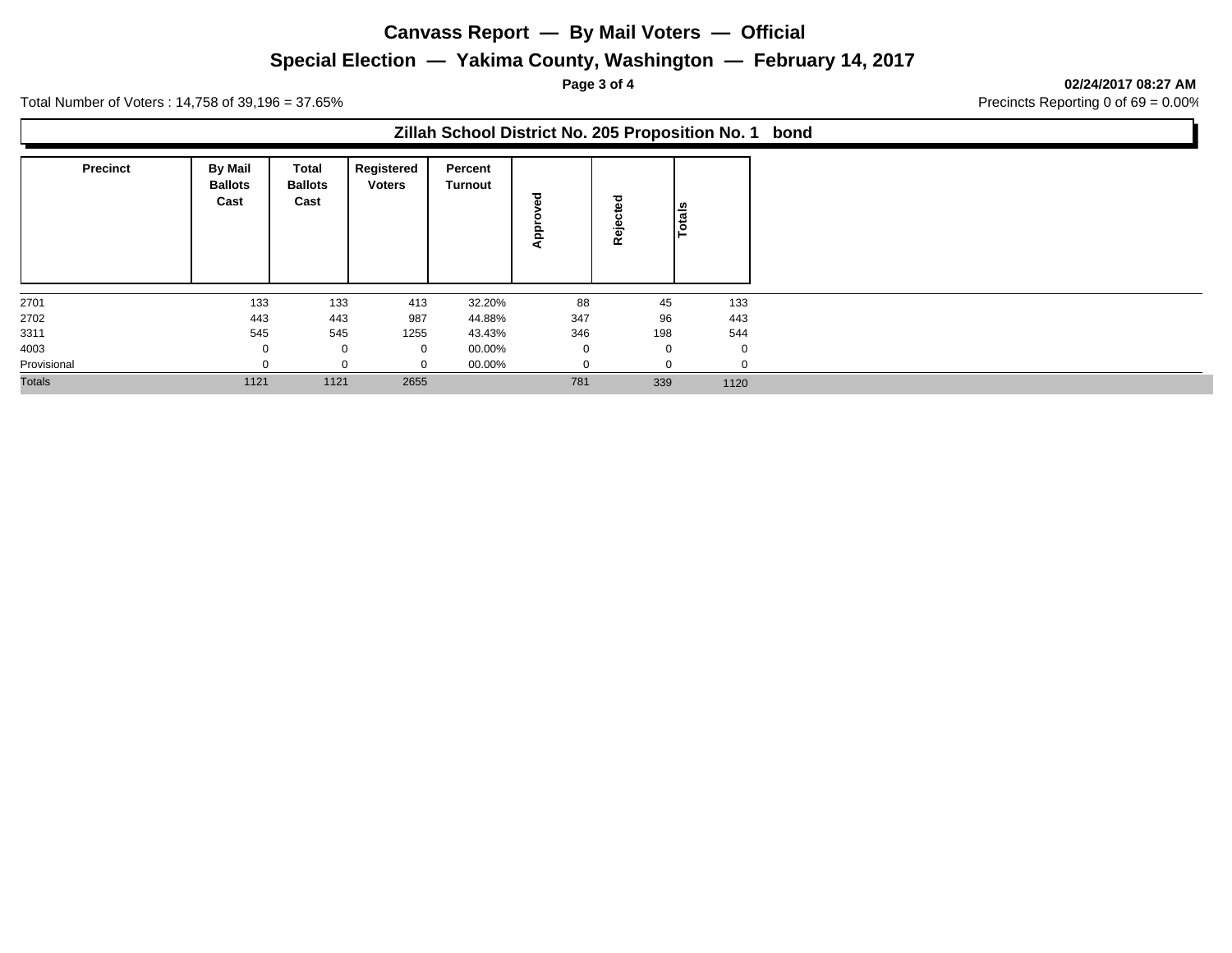## **Special Election — Yakima County, Washington — February 14, 2017**

**Page 3 of 4 02/24/2017 08:27 AM**

Total Number of Voters : 14,758 of 39,196 = 37.65% Precincts Reporting 0 of 69 = 0.00%

#### **Zillah School District No. 205 Proposition No. 1 bond**

| <b>Precinct</b> | <b>By Mail</b><br><b>Ballots</b><br>Cast | Total<br><b>Ballots</b><br>Cast | Registered<br><b>Voters</b> | Percent<br>Turnout | ठ<br>o<br>$\overline{a}$<br>◀ | ಕ<br>Rēj    | Totals      |
|-----------------|------------------------------------------|---------------------------------|-----------------------------|--------------------|-------------------------------|-------------|-------------|
| 2701            | 133                                      | 133                             | 413                         | 32.20%             | 88                            | 45          | 133         |
| 2702            | 443                                      | 443                             | 987                         | 44.88%             | 347                           | 96          | 443         |
| 3311            | 545                                      | 545                             | 1255                        | 43.43%             | 346                           | 198         | 544         |
| 4003            | $\Omega$                                 | $\mathbf 0$                     | 0                           | 00.00%             | $\mathbf{0}$                  | $\mathbf 0$ | $\mathbf 0$ |
| Provisional     |                                          |                                 | 0                           | 00.00%             |                               |             | $\Omega$    |
| <b>Totals</b>   | 1121                                     | 1121                            | 2655                        |                    | 781                           | 339         | 1120        |